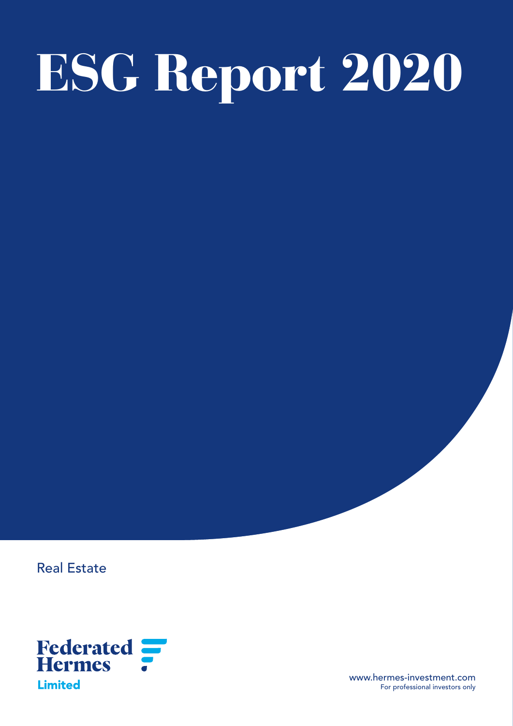# ESG Report 2020

Real Estate



www.hermes-investment.com For professional investors only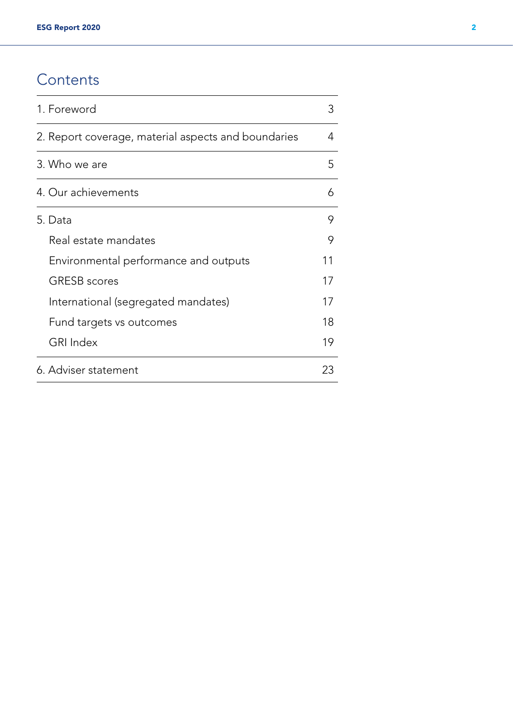# **Contents**

| 1. Foreword                                         |    |  |  |  |
|-----------------------------------------------------|----|--|--|--|
| 2. Report coverage, material aspects and boundaries |    |  |  |  |
| 3. Who we are                                       | 5  |  |  |  |
| 4. Our achievements                                 | 6  |  |  |  |
| 5. Data                                             | 9  |  |  |  |
| Real estate mandates                                | 9  |  |  |  |
| Environmental performance and outputs               | 11 |  |  |  |
| <b>GRESB</b> scores                                 | 17 |  |  |  |
| International (segregated mandates)                 | 17 |  |  |  |
| Fund targets vs outcomes                            | 18 |  |  |  |
| <b>GRI Index</b>                                    | 19 |  |  |  |
| 6. Adviser statement                                | 23 |  |  |  |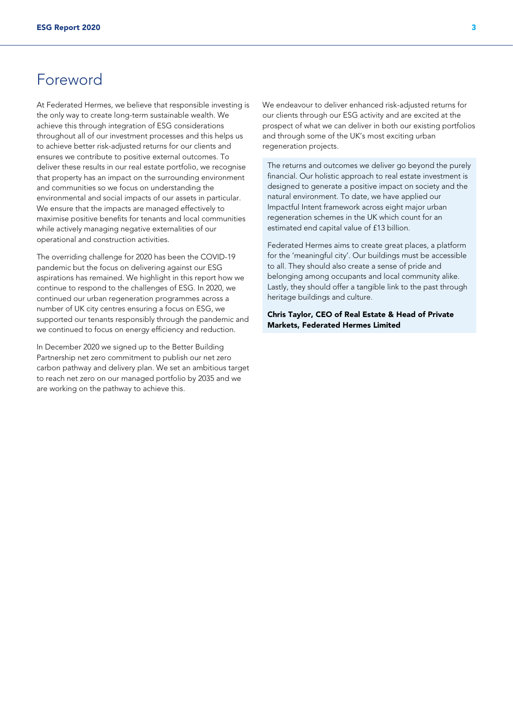# Foreword

At Federated Hermes, we believe that responsible investing is the only way to create long-term sustainable wealth. We achieve this through integration of ESG considerations throughout all of our investment processes and this helps us to achieve better risk-adjusted returns for our clients and ensures we contribute to positive external outcomes. To deliver these results in our real estate portfolio, we recognise that property has an impact on the surrounding environment and communities so we focus on understanding the environmental and social impacts of our assets in particular. We ensure that the impacts are managed effectively to maximise positive benefits for tenants and local communities while actively managing negative externalities of our operational and construction activities.

The overriding challenge for 2020 has been the COVID-19 pandemic but the focus on delivering against our ESG aspirations has remained. We highlight in this report how we continue to respond to the challenges of ESG. In 2020, we continued our urban regeneration programmes across a number of UK city centres ensuring a focus on ESG, we supported our tenants responsibly through the pandemic and we continued to focus on energy efficiency and reduction.

In December 2020 we signed up to the Better Building Partnership net zero commitment to publish our net zero carbon pathway and delivery plan. We set an ambitious target to reach net zero on our managed portfolio by 2035 and we are working on the pathway to achieve this.

We endeavour to deliver enhanced risk-adjusted returns for our clients through our ESG activity and are excited at the prospect of what we can deliver in both our existing portfolios and through some of the UK's most exciting urban regeneration projects.

The returns and outcomes we deliver go beyond the purely financial. Our holistic approach to real estate investment is designed to generate a positive impact on society and the natural environment. To date, we have applied our Impactful Intent framework across eight major urban regeneration schemes in the UK which count for an estimated end capital value of £13 billion.

Federated Hermes aims to create great places, a platform for the 'meaningful city'. Our buildings must be accessible to all. They should also create a sense of pride and belonging among occupants and local community alike. Lastly, they should offer a tangible link to the past through heritage buildings and culture.

Chris Taylor, CEO of Real Estate & Head of Private Markets, Federated Hermes Limited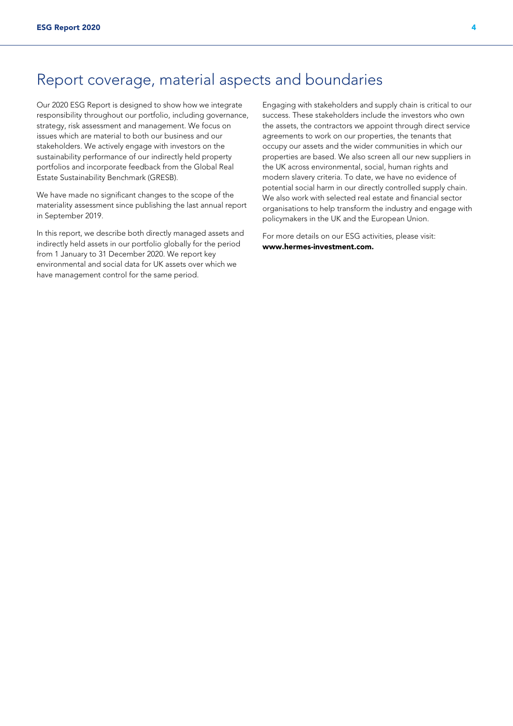# Report coverage, material aspects and boundaries

Our 2020 ESG Report is designed to show how we integrate responsibility throughout our portfolio, including governance, strategy, risk assessment and management. We focus on issues which are material to both our business and our stakeholders. We actively engage with investors on the sustainability performance of our indirectly held property portfolios and incorporate feedback from the Global Real Estate Sustainability Benchmark (GRESB).

We have made no significant changes to the scope of the materiality assessment since publishing the last annual report in September 2019.

In this report, we describe both directly managed assets and indirectly held assets in our portfolio globally for the period from 1 January to 31 December 2020. We report key environmental and social data for UK assets over which we have management control for the same period.

Engaging with stakeholders and supply chain is critical to our success. These stakeholders include the investors who own the assets, the contractors we appoint through direct service agreements to work on our properties, the tenants that occupy our assets and the wider communities in which our properties are based. We also screen all our new suppliers in the UK across environmental, social, human rights and modern slavery criteria. To date, we have no evidence of potential social harm in our directly controlled supply chain. We also work with selected real estate and financial sector organisations to help transform the industry and engage with policymakers in the UK and the European Union.

For more details on our ESG activities, please visit: [www.hermes-investment.com](http://www.hermes-investment.com).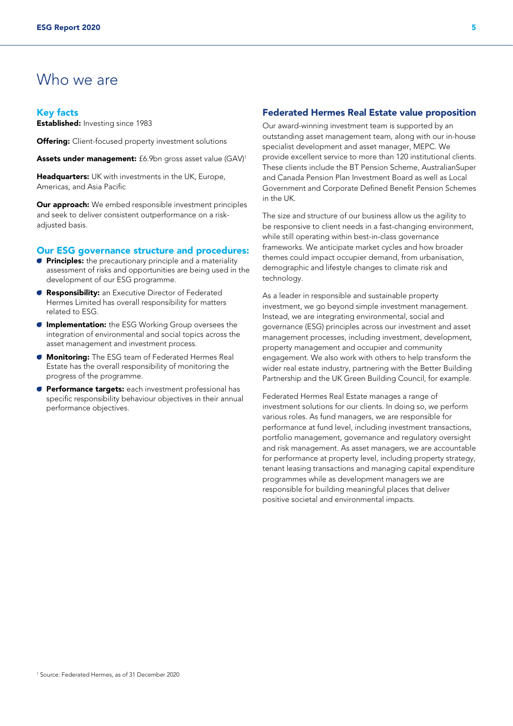# Who we are

#### Key facts

**Established:** Investing since 1983

**Offering:** Client-focused property investment solutions

Assets under management: £6.9bn gross asset value (GAV)<sup>1</sup>

Headquarters: UK with investments in the UK, Europe, Americas, and Asia Pacific

**Our approach:** We embed responsible investment principles and seek to deliver consistent outperformance on a riskadjusted basis.

#### Our ESG governance structure and procedures:

- $\bullet$  Principles: the precautionary principle and a materiality assessment of risks and opportunities are being used in the development of our ESG programme.
- **Responsibility:** an Executive Director of Federated Hermes Limited has overall responsibility for matters related to ESG.
- **Implementation:** the ESG Working Group oversees the integration of environmental and social topics across the asset management and investment process.
- **Monitoring:** The ESG team of Federated Hermes Real Estate has the overall responsibility of monitoring the progress of the programme.
- **Performance targets:** each investment professional has specific responsibility behaviour objectives in their annual performance objectives.

#### Federated Hermes Real Estate value proposition

Our award-winning investment team is supported by an outstanding asset management team, along with our in-house specialist development and asset manager, MEPC. We provide excellent service to more than 120 institutional clients. These clients include the BT Pension Scheme, AustralianSuper and Canada Pension Plan Investment Board as well as Local Government and Corporate Defined Benefit Pension Schemes in the UK.

The size and structure of our business allow us the agility to be responsive to client needs in a fast-changing environment, while still operating within best-in-class governance frameworks. We anticipate market cycles and how broader themes could impact occupier demand, from urbanisation, demographic and lifestyle changes to climate risk and technology.

As a leader in responsible and sustainable property investment, we go beyond simple investment management. Instead, we are integrating environmental, social and governance (ESG) principles across our investment and asset management processes, including investment, development, property management and occupier and community engagement. We also work with others to help transform the wider real estate industry, partnering with the Better Building Partnership and the UK Green Building Council, for example.

Federated Hermes Real Estate manages a range of investment solutions for our clients. In doing so, we perform various roles. As fund managers, we are responsible for performance at fund level, including investment transactions, portfolio management, governance and regulatory oversight and risk management. As asset managers, we are accountable for performance at property level, including property strategy, tenant leasing transactions and managing capital expenditure programmes while as development managers we are responsible for building meaningful places that deliver positive societal and environmental impacts.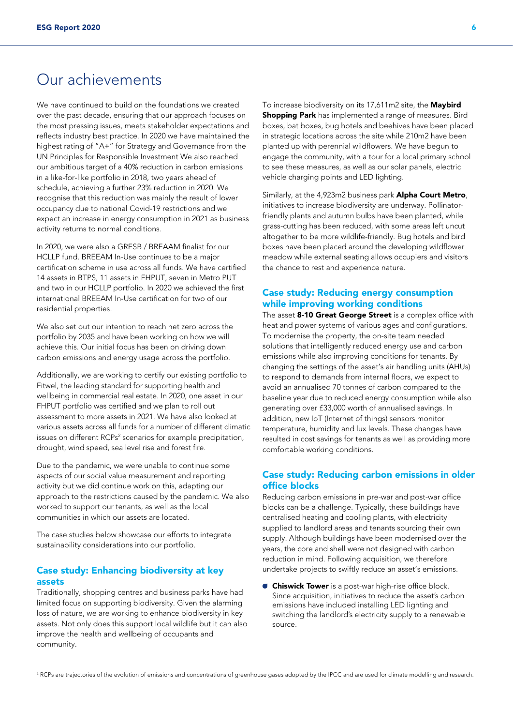# Our achievements

We have continued to build on the foundations we created over the past decade, ensuring that our approach focuses on the most pressing issues, meets stakeholder expectations and reflects industry best practice. In 2020 we have maintained the highest rating of "A+" for Strategy and Governance from the UN Principles for Responsible Investment We also reached our ambitious target of a 40% reduction in carbon emissions in a like-for-like portfolio in 2018, two years ahead of schedule, achieving a further 23% reduction in 2020. We recognise that this reduction was mainly the result of lower occupancy due to national Covid-19 restrictions and we expect an increase in energy consumption in 2021 as business activity returns to normal conditions.

In 2020, we were also a GRESB / BREAAM finalist for our HCLLP fund. BREEAM In-Use continues to be a major certification scheme in use across all funds. We have certified 14 assets in BTPS, 11 assets in FHPUT, seven in Metro PUT and two in our HCLLP portfolio. In 2020 we achieved the first international BREEAM In-Use certification for two of our residential properties.

We also set out our intention to reach net zero across the portfolio by 2035 and have been working on how we will achieve this. Our initial focus has been on driving down carbon emissions and energy usage across the portfolio.

Additionally, we are working to certify our existing portfolio to Fitwel, the leading standard for supporting health and wellbeing in commercial real estate. In 2020, one asset in our FHPUT portfolio was certified and we plan to roll out assessment to more assets in 2021. We have also looked at various assets across all funds for a number of different climatic issues on different RCPs<sup>2</sup> scenarios for example precipitation, drought, wind speed, sea level rise and forest fire.

Due to the pandemic, we were unable to continue some aspects of our social value measurement and reporting activity but we did continue work on this, adapting our approach to the restrictions caused by the pandemic. We also worked to support our tenants, as well as the local communities in which our assets are located.

The case studies below showcase our efforts to integrate sustainability considerations into our portfolio.

#### Case study: Enhancing biodiversity at key assets

Traditionally, shopping centres and business parks have had limited focus on supporting biodiversity. Given the alarming loss of nature, we are working to enhance biodiversity in key assets. Not only does this support local wildlife but it can also improve the health and wellbeing of occupants and community.

To increase biodiversity on its 17,611m2 site, the Maybird **Shopping Park** has implemented a range of measures. Bird boxes, bat boxes, bug hotels and beehives have been placed in strategic locations across the site while 210m2 have been planted up with perennial wildflowers. We have begun to engage the community, with a tour for a local primary school to see these measures, as well as our solar panels, electric vehicle charging points and LED lighting.

Similarly, at the 4,923m2 business park Alpha Court Metro, initiatives to increase biodiversity are underway. Pollinatorfriendly plants and autumn bulbs have been planted, while grass-cutting has been reduced, with some areas left uncut altogether to be more wildlife-friendly. Bug hotels and bird boxes have been placed around the developing wildflower meadow while external seating allows occupiers and visitors the chance to rest and experience nature.

## Case study: Reducing energy consumption while improving working conditions

The asset 8-10 Great George Street is a complex office with heat and power systems of various ages and configurations. To modernise the property, the on-site team needed solutions that intelligently reduced energy use and carbon emissions while also improving conditions for tenants. By changing the settings of the asset's air handling units (AHUs) to respond to demands from internal floors, we expect to avoid an annualised 70 tonnes of carbon compared to the baseline year due to reduced energy consumption while also generating over £33,000 worth of annualised savings. In addition, new IoT (Internet of things) sensors monitor temperature, humidity and lux levels. These changes have resulted in cost savings for tenants as well as providing more comfortable working conditions.

#### Case study: Reducing carbon emissions in older office blocks

Reducing carbon emissions in pre-war and post-war office blocks can be a challenge. Typically, these buildings have centralised heating and cooling plants, with electricity supplied to landlord areas and tenants sourcing their own supply. Although buildings have been modernised over the years, the core and shell were not designed with carbon reduction in mind. Following acquisition, we therefore undertake projects to swiftly reduce an asset's emissions.

**Chiswick Tower** is a post-war high-rise office block. Since acquisition, initiatives to reduce the asset's carbon emissions have included installing LED lighting and switching the landlord's electricity supply to a renewable source.

<sup>2</sup> RCPs are trajectories of the evolution of emissions and concentrations of greenhouse gases adopted by the IPCC and are used for climate modelling and research.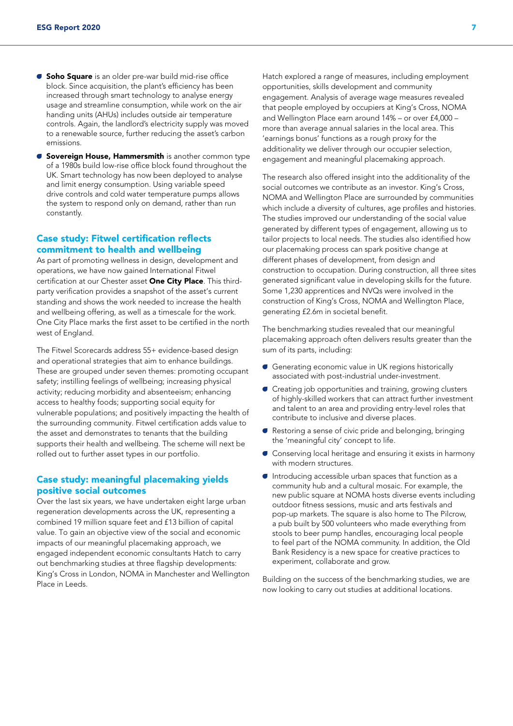- **Soho Square** is an older pre-war build mid-rise office block. Since acquisition, the plant's efficiency has been increased through smart technology to analyse energy usage and streamline consumption, while work on the air handing units (AHUs) includes outside air temperature controls. Again, the landlord's electricity supply was moved to a renewable source, further reducing the asset's carbon emissions.
- **G** Sovereign House, Hammersmith is another common type of a 1980s build low-rise office block found throughout the UK. Smart technology has now been deployed to analyse and limit energy consumption. Using variable speed drive controls and cold water temperature pumps allows the system to respond only on demand, rather than run constantly.

#### Case study: Fitwel certification reflects commitment to health and wellbeing

As part of promoting wellness in design, development and operations, we have now gained International Fitwel certification at our Chester asset One City Place. This thirdparty verification provides a snapshot of the asset's current standing and shows the work needed to increase the health and wellbeing offering, as well as a timescale for the work. One City Place marks the first asset to be certified in the north west of England.

The Fitwel Scorecards address 55+ evidence-based design and operational strategies that aim to enhance buildings. These are grouped under seven themes: promoting occupant safety; instilling feelings of wellbeing; increasing physical activity; reducing morbidity and absenteeism; enhancing access to healthy foods; supporting social equity for vulnerable populations; and positively impacting the health of the surrounding community. Fitwel certification adds value to the asset and demonstrates to tenants that the building supports their health and wellbeing. The scheme will next be rolled out to further asset types in our portfolio.

#### Case study: meaningful placemaking yields positive social outcomes

Over the last six years, we have undertaken eight large urban regeneration developments across the UK, representing a combined 19 million square feet and £13 billion of capital value. To gain an objective view of the social and economic impacts of our meaningful placemaking approach, we engaged independent economic consultants Hatch to carry out benchmarking studies at three flagship developments: King's Cross in London, NOMA in Manchester and Wellington Place in Leeds.

Hatch explored a range of measures, including employment opportunities, skills development and community engagement. Analysis of average wage measures revealed that people employed by occupiers at King's Cross, NOMA and Wellington Place earn around 14% – or over £4,000 – more than average annual salaries in the local area. This 'earnings bonus' functions as a rough proxy for the additionality we deliver through our occupier selection, engagement and meaningful placemaking approach.

The research also offered insight into the additionality of the social outcomes we contribute as an investor. King's Cross, NOMA and Wellington Place are surrounded by communities which include a diversity of cultures, age profiles and histories. The studies improved our understanding of the social value generated by different types of engagement, allowing us to tailor projects to local needs. The studies also identified how our placemaking process can spark positive change at different phases of development, from design and construction to occupation. During construction, all three sites generated significant value in developing skills for the future. Some 1,230 apprentices and NVQs were involved in the construction of King's Cross, NOMA and Wellington Place, generating £2.6m in societal benefit.

The benchmarking studies revealed that our meaningful placemaking approach often delivers results greater than the sum of its parts, including:

- A Generating economic value in UK regions historically associated with post-industrial under-investment.
- $\bullet$  Creating job opportunities and training, growing clusters of highly-skilled workers that can attract further investment and talent to an area and providing entry-level roles that contribute to inclusive and diverse places.
- A Restoring a sense of civic pride and belonging, bringing the 'meaningful city' concept to life.
- **C** Conserving local heritage and ensuring it exists in harmony with modern structures.
- $\blacksquare$  Introducing accessible urban spaces that function as a community hub and a cultural mosaic. For example, the new public square at NOMA hosts diverse events including outdoor fitness sessions, music and arts festivals and pop-up markets. The square is also home to The Pilcrow, a pub built by 500 volunteers who made everything from stools to beer pump handles, encouraging local people to feel part of the NOMA community. In addition, the Old Bank Residency is a new space for creative practices to experiment, collaborate and grow.

Building on the success of the benchmarking studies, we are now looking to carry out studies at additional locations.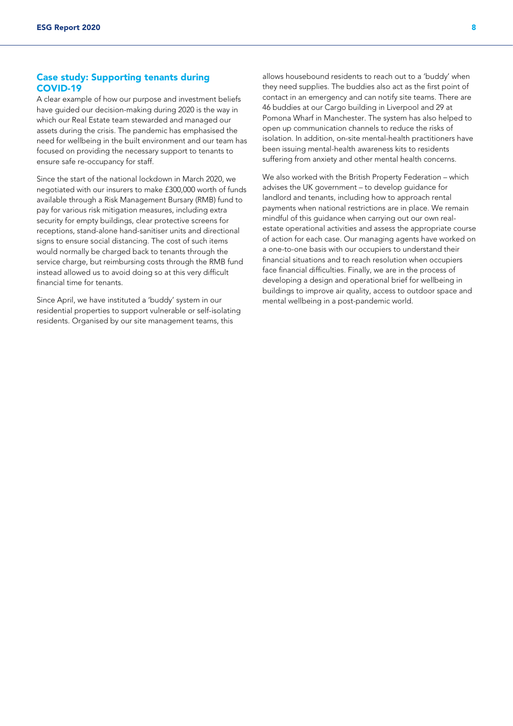#### Case study: Supporting tenants during COVID-19

A clear example of how our purpose and investment beliefs have guided our decision-making during 2020 is the way in which our Real Estate team stewarded and managed our assets during the crisis. The pandemic has emphasised the need for wellbeing in the built environment and our team has focused on providing the necessary support to tenants to ensure safe re-occupancy for staff.

Since the start of the national lockdown in March 2020, we negotiated with our insurers to make £300,000 worth of funds available through a Risk Management Bursary (RMB) fund to pay for various risk mitigation measures, including extra security for empty buildings, clear protective screens for receptions, stand-alone hand-sanitiser units and directional signs to ensure social distancing. The cost of such items would normally be charged back to tenants through the service charge, but reimbursing costs through the RMB fund instead allowed us to avoid doing so at this very difficult financial time for tenants.

Since April, we have instituted a 'buddy' system in our residential properties to support vulnerable or self-isolating residents. Organised by our site management teams, this

allows housebound residents to reach out to a 'buddy' when they need supplies. The buddies also act as the first point of contact in an emergency and can notify site teams. There are 46 buddies at our Cargo building in Liverpool and 29 at Pomona Wharf in Manchester. The system has also helped to open up communication channels to reduce the risks of isolation. In addition, on-site mental-health practitioners have been issuing mental-health awareness kits to residents suffering from anxiety and other mental health concerns.

We also worked with the British Property Federation – which advises the UK government – to develop guidance for landlord and tenants, including how to approach rental payments when national restrictions are in place. We remain mindful of this guidance when carrying out our own realestate operational activities and assess the appropriate course of action for each case. Our managing agents have worked on a one-to-one basis with our occupiers to understand their financial situations and to reach resolution when occupiers face financial difficulties. Finally, we are in the process of developing a design and operational brief for wellbeing in buildings to improve air quality, access to outdoor space and mental wellbeing in a post-pandemic world.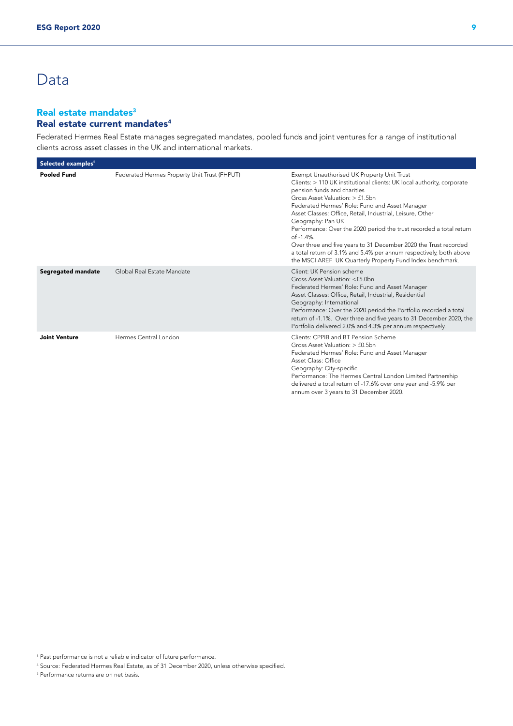# Data

## Real estate mandates<sup>3</sup> Real estate current mandates<sup>4</sup>

Federated Hermes Real Estate manages segregated mandates, pooled funds and joint ventures for a range of institutional clients across asset classes in the UK and international markets.

| Selected examples <sup>5</sup> |                                              |                                                                                                                                                                                                                                                                                                                                                                                                                                                                                                                                                                                                                          |
|--------------------------------|----------------------------------------------|--------------------------------------------------------------------------------------------------------------------------------------------------------------------------------------------------------------------------------------------------------------------------------------------------------------------------------------------------------------------------------------------------------------------------------------------------------------------------------------------------------------------------------------------------------------------------------------------------------------------------|
| <b>Pooled Fund</b>             | Federated Hermes Property Unit Trust (FHPUT) | Exempt Unauthorised UK Property Unit Trust<br>Clients: > 110 UK institutional clients: UK local authority, corporate<br>pension funds and charities<br>Gross Asset Valuation: > £1.5bn<br>Federated Hermes' Role: Fund and Asset Manager<br>Asset Classes: Office, Retail, Industrial, Leisure, Other<br>Geography: Pan UK<br>Performance: Over the 2020 period the trust recorded a total return<br>$of -1.4%$ .<br>Over three and five years to 31 December 2020 the Trust recorded<br>a total return of 3.1% and 5.4% per annum respectively, both above<br>the MSCI AREF UK Quarterly Property Fund Index benchmark. |
| Segregated mandate             | Global Real Estate Mandate                   | Client: UK Pension scheme<br>Gross Asset Valuation: <£5.0bn<br>Federated Hermes' Role: Fund and Asset Manager<br>Asset Classes: Office, Retail, Industrial, Residential<br>Geography: International<br>Performance: Over the 2020 period the Portfolio recorded a total<br>return of -1.1%. Over three and five years to 31 December 2020, the<br>Portfolio delivered 2.0% and 4.3% per annum respectively.                                                                                                                                                                                                              |
| <b>Joint Venture</b>           | Hermes Central London                        | Clients: CPPIB and BT Pension Scheme<br>Gross Asset Valuation: > £0.5bn<br>Federated Hermes' Role: Fund and Asset Manager<br>Asset Class: Office<br>Geography: City-specific<br>Performance: The Hermes Central London Limited Partnership<br>delivered a total return of -17.6% over one year and -5.9% per<br>annum over 3 years to 31 December 2020.                                                                                                                                                                                                                                                                  |

<sup>3</sup> Past performance is not a reliable indicator of future performance.

4 Source: Federated Hermes Real Estate, as of 31 December 2020, unless otherwise specified.

5 Performance returns are on net basis.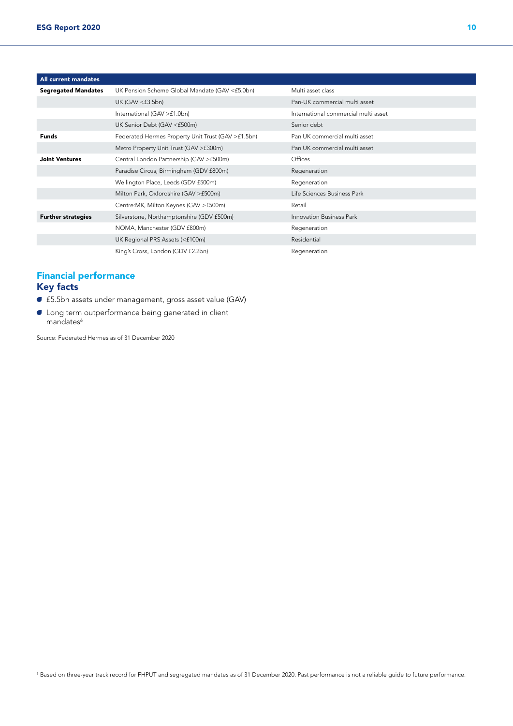| All current mandates       |                                                    |                                      |
|----------------------------|----------------------------------------------------|--------------------------------------|
| <b>Segregated Mandates</b> | UK Pension Scheme Global Mandate (GAV <£5.0bn)     | Multi asset class                    |
|                            | UK (GAV $\leq$ £3.5bn)                             | Pan-UK commercial multi asset        |
|                            | International (GAV >£1.0bn)                        | International commercial multi asset |
|                            | UK Senior Debt (GAV <£500m)                        | Senior debt                          |
| <b>Funds</b>               | Federated Hermes Property Unit Trust (GAV >£1.5bn) | Pan UK commercial multi asset        |
|                            | Metro Property Unit Trust (GAV > £300m)            | Pan UK commercial multi asset        |
| <b>Joint Ventures</b>      | Central London Partnership (GAV >£500m)            | Offices                              |
|                            | Paradise Circus, Birmingham (GDV £800m)            | Regeneration                         |
|                            | Wellington Place, Leeds (GDV £500m)                | Regeneration                         |
|                            | Milton Park, Oxfordshire (GAV >£500m)              | Life Sciences Business Park          |
|                            | Centre: MK, Milton Keynes (GAV > £500m)            | Retail                               |
| <b>Further strategies</b>  | Silverstone, Northamptonshire (GDV £500m)          | Innovation Business Park             |
|                            | NOMA, Manchester (GDV £800m)                       | Regeneration                         |
|                            | UK Regional PRS Assets (<£100m)                    | Residential                          |
|                            | King's Cross, London (GDV £2.2bn)                  | Regeneration                         |

## Financial performance Key facts

- A £5.5bn assets under management, gross asset value (GAV)
- **C** Long term outperformance being generated in client mandates<sup>6</sup>

Source: Federated Hermes as of 31 December 2020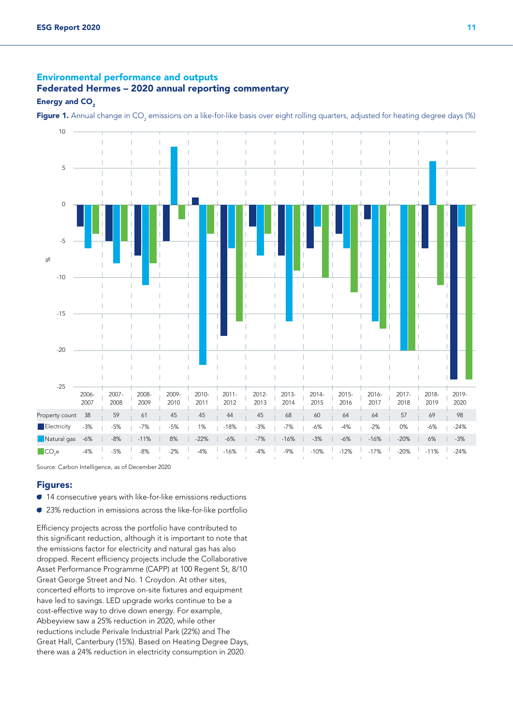## Environmental performance and outputs Federated Hermes – 2020 annual reporting commentary

#### Energy and CO<sub>2</sub>

**Figure 1.** Annual change in CO<sub>2</sub> emissions on a like-for-like basis over eight rolling quarters, adjusted for heating degree days (%)



Source: Carbon Intelligence, as of December 2020

#### Figures:

- A 14 consecutive years with like-for-like emissions reductions
- 23% reduction in emissions across the like-for-like portfolio

Efficiency projects across the portfolio have contributed to this significant reduction, although it is important to note that the emissions factor for electricity and natural gas has also dropped. Recent efficiency projects include the Collaborative Asset Performance Programme (CAPP) at 100 Regent St, 8/10 Great George Street and No. 1 Croydon. At other sites, concerted efforts to improve on-site fixtures and equipment have led to savings. LED upgrade works continue to be a cost-effective way to drive down energy. For example, Abbeyview saw a 25% reduction in 2020, while other reductions include Perivale Industrial Park (22%) and The Great Hall, Canterbury (15%). Based on Heating Degree Days, there was a 24% reduction in electricity consumption in 2020.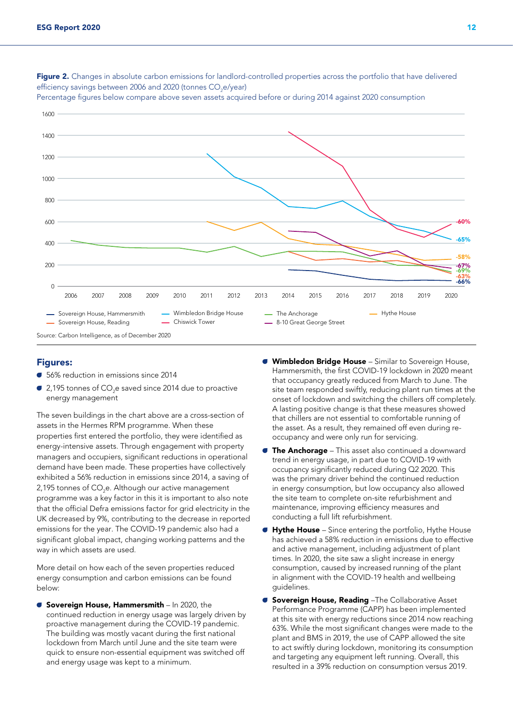

Figure 2. Changes in absolute carbon emissions for landlord-controlled properties across the portfolio that have delivered efficiency savings between 2006 and 2020 (tonnes CO $_{\textrm{\tiny{2}}}$ e/year)

Percentage figures below compare above seven assets acquired before or during 2014 against 2020 consumption

#### Figures:

- 56% reduction in emissions since 2014
- $\bullet$  2,195 tonnes of CO<sub>2</sub>e saved since 2014 due to proactive energy management

The seven buildings in the chart above are a cross-section of assets in the Hermes RPM programme. When these properties first entered the portfolio, they were identified as energy-intensive assets. Through engagement with property managers and occupiers, significant reductions in operational demand have been made. These properties have collectively exhibited a 56% reduction in emissions since 2014, a saving of 2,195 tonnes of CO<sub>2</sub>e. Although our active management programme was a key factor in this it is important to also note that the official Defra emissions factor for grid electricity in the UK decreased by 9%, contributing to the decrease in reported emissions for the year. The COVID-19 pandemic also had a significant global impact, changing working patterns and the way in which assets are used.

More detail on how each of the seven properties reduced energy consumption and carbon emissions can be found below:

G Sovereign House, Hammersmith – In 2020, the continued reduction in energy usage was largely driven by proactive management during the COVID-19 pandemic. The building was mostly vacant during the first national lockdown from March until June and the site team were quick to ensure non-essential equipment was switched off and energy usage was kept to a minimum.

- **Wimbledon Bridge House** Similar to Sovereign House, Hammersmith, the first COVID-19 lockdown in 2020 meant that occupancy greatly reduced from March to June. The site team responded swiftly, reducing plant run times at the onset of lockdown and switching the chillers off completely. A lasting positive change is that these measures showed that chillers are not essential to comfortable running of the asset. As a result, they remained off even during reoccupancy and were only run for servicing.
- $\bullet$  The Anchorage This asset also continued a downward trend in energy usage, in part due to COVID-19 with occupancy significantly reduced during Q2 2020. This was the primary driver behind the continued reduction in energy consumption, but low occupancy also allowed the site team to complete on-site refurbishment and maintenance, improving efficiency measures and conducting a full lift refurbishment.
- $\bullet$  Hythe House Since entering the portfolio, Hythe House has achieved a 58% reduction in emissions due to effective and active management, including adjustment of plant times. In 2020, the site saw a slight increase in energy consumption, caused by increased running of the plant in alignment with the COVID-19 health and wellbeing guidelines.
- **Sovereign House, Reading -The Collaborative Asset** Performance Programme (CAPP) has been implemented at this site with energy reductions since 2014 now reaching 63%. While the most significant changes were made to the plant and BMS in 2019, the use of CAPP allowed the site to act swiftly during lockdown, monitoring its consumption and targeting any equipment left running. Overall, this resulted in a 39% reduction on consumption versus 2019.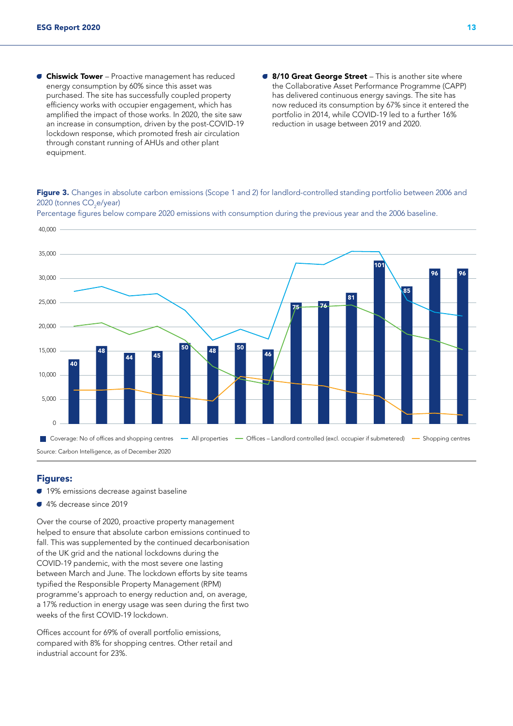- **Chiswick Tower** Proactive management has reduced energy consumption by 60% since this asset was purchased. The site has successfully coupled property efficiency works with occupier engagement, which has amplified the impact of those works. In 2020, the site saw an increase in consumption, driven by the post-COVID-19 lockdown response, which promoted fresh air circulation through constant running of AHUs and other plant equipment.
- **B/10 Great George Street** This is another site where the Collaborative Asset Performance Programme (CAPP) has delivered continuous energy savings. The site has now reduced its consumption by 67% since it entered the portfolio in 2014, while COVID-19 led to a further 16% reduction in usage between 2019 and 2020.

Figure 3. Changes in absolute carbon emissions (Scope 1 and 2) for landlord-controlled standing portfolio between 2006 and 2020 (tonnes CO<sub>2</sub>e/year)



Percentage figures below compare 2020 emissions with consumption during the previous year and the 2006 baseline.

#### Figures:

- **19%** emissions decrease against baseline
- 4% decrease since 2019

Over the course of 2020, proactive property management helped to ensure that absolute carbon emissions continued to fall. This was supplemented by the continued decarbonisation of the UK grid and the national lockdowns during the COVID-19 pandemic, with the most severe one lasting between March and June. The lockdown efforts by site teams typified the Responsible Property Management (RPM) programme's approach to energy reduction and, on average, a 17% reduction in energy usage was seen during the first two weeks of the first COVID-19 lockdown.

Offices account for 69% of overall portfolio emissions, compared with 8% for shopping centres. Other retail and industrial account for 23%.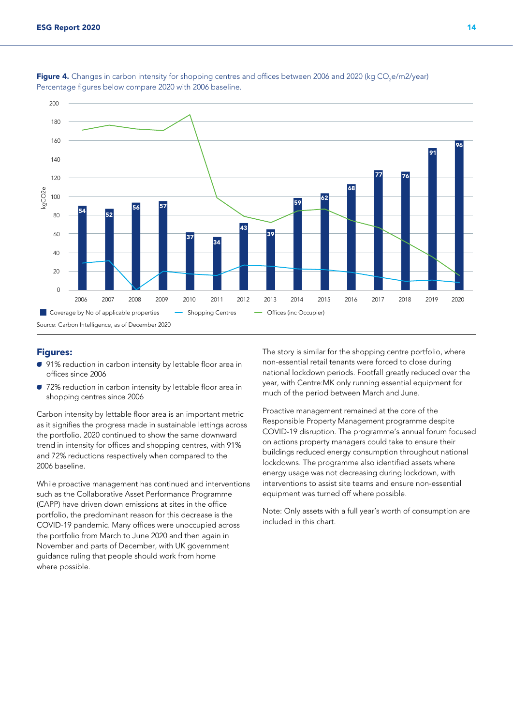

**Figure 4.** Changes in carbon intensity for shopping centres and offices between 2006 and 2020 (kg CO<sub>2</sub>e/m2/year) Percentage figures below compare 2020 with 2006 baseline.

#### Figures:

- 91% reduction in carbon intensity by lettable floor area in offices since 2006
- 72% reduction in carbon intensity by lettable floor area in shopping centres since 2006

Carbon intensity by lettable floor area is an important metric as it signifies the progress made in sustainable lettings across the portfolio. 2020 continued to show the same downward trend in intensity for offices and shopping centres, with 91% and 72% reductions respectively when compared to the 2006 baseline.

While proactive management has continued and interventions such as the Collaborative Asset Performance Programme (CAPP) have driven down emissions at sites in the office portfolio, the predominant reason for this decrease is the COVID-19 pandemic. Many offices were unoccupied across the portfolio from March to June 2020 and then again in November and parts of December, with UK government guidance ruling that people should work from home where possible.

The story is similar for the shopping centre portfolio, where non-essential retail tenants were forced to close during national lockdown periods. Footfall greatly reduced over the year, with Centre:MK only running essential equipment for much of the period between March and June.

Proactive management remained at the core of the Responsible Property Management programme despite COVID-19 disruption. The programme's annual forum focused on actions property managers could take to ensure their buildings reduced energy consumption throughout national lockdowns. The programme also identified assets where energy usage was not decreasing during lockdown, with interventions to assist site teams and ensure non-essential equipment was turned off where possible.

Note: Only assets with a full year's worth of consumption are included in this chart.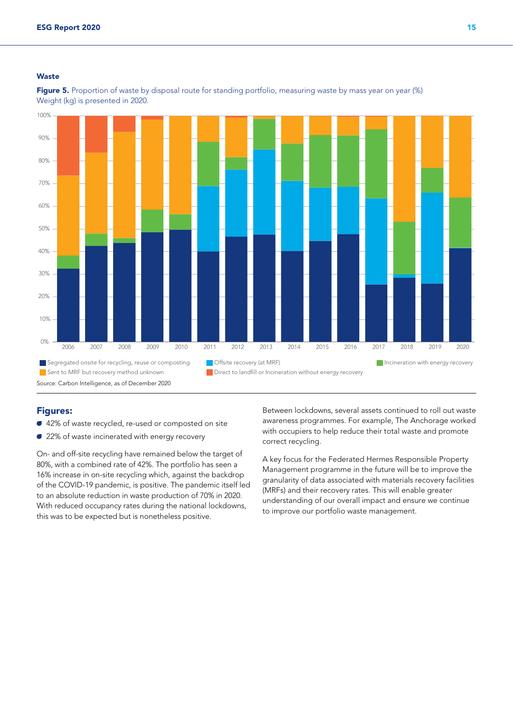#### **Waste**



Figure 5. Proportion of waste by disposal route for standing portfolio, measuring waste by mass year on year (%) Weight (kg) is presented in 2020.

## Figures:

- 42% of waste recycled, re-used or composted on site
- 22% of waste incinerated with energy recovery

On- and off-site recycling have remained below the target of 80%, with a combined rate of 42%. The portfolio has seen a 16% increase in on-site recycling which, against the backdrop of the COVID-19 pandemic, is positive. The pandemic itself led to an absolute reduction in waste production of 70% in 2020. With reduced occupancy rates during the national lockdowns, this was to be expected but is nonetheless positive.

Between lockdowns, several assets continued to roll out waste awareness programmes. For example, The Anchorage worked with occupiers to help reduce their total waste and promote correct recycling.

A key focus for the Federated Hermes Responsible Property Management programme in the future will be to improve the granularity of data associated with materials recovery facilities (MRFs) and their recovery rates. This will enable greater understanding of our overall impact and ensure we continue to improve our portfolio waste management.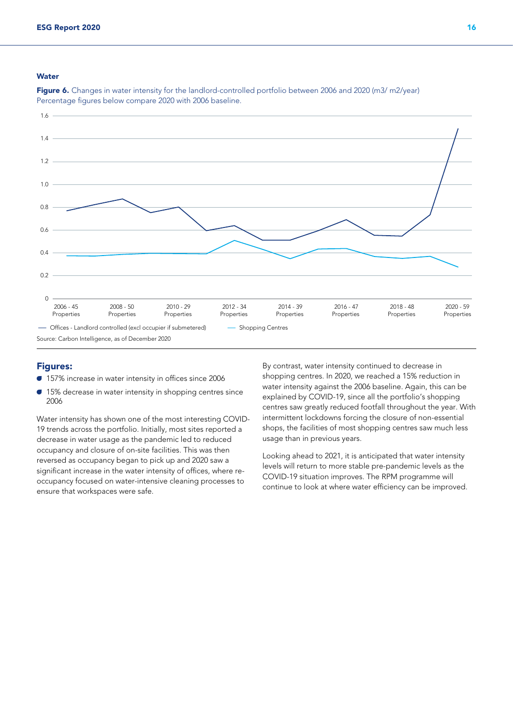#### **Water**



Figure 6. Changes in water intensity for the landlord-controlled portfolio between 2006 and 2020 (m3/ m2/year) Percentage figures below compare 2020 with 2006 baseline.

#### Figures:

- A 157% increase in water intensity in offices since 2006
- $\bullet$  15% decrease in water intensity in shopping centres since 2006

Water intensity has shown one of the most interesting COVID-19 trends across the portfolio. Initially, most sites reported a decrease in water usage as the pandemic led to reduced occupancy and closure of on-site facilities. This was then reversed as occupancy began to pick up and 2020 saw a significant increase in the water intensity of offices, where reoccupancy focused on water-intensive cleaning processes to ensure that workspaces were safe.

By contrast, water intensity continued to decrease in shopping centres. In 2020, we reached a 15% reduction in water intensity against the 2006 baseline. Again, this can be explained by COVID-19, since all the portfolio's shopping centres saw greatly reduced footfall throughout the year. With intermittent lockdowns forcing the closure of non-essential shops, the facilities of most shopping centres saw much less usage than in previous years.

Looking ahead to 2021, it is anticipated that water intensity levels will return to more stable pre-pandemic levels as the COVID-19 situation improves. The RPM programme will continue to look at where water efficiency can be improved.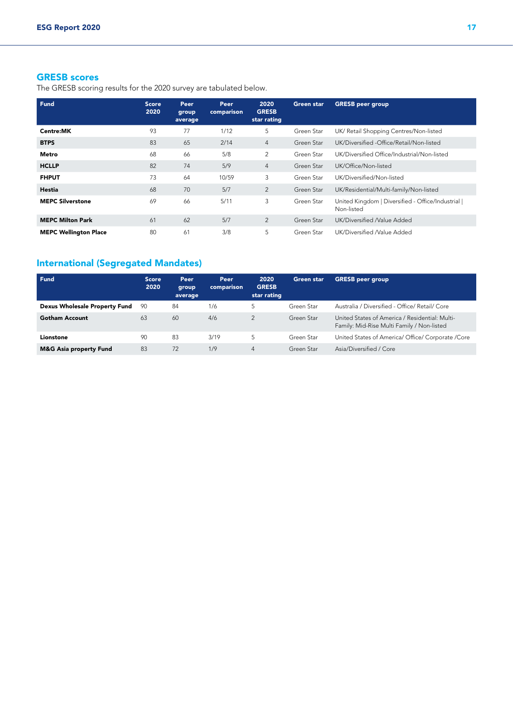## GRESB scores

The GRESB scoring results for the 2020 survey are tabulated below.

| Fund                         | <b>Score</b><br>2020 | Peer<br>group<br>average | Peer<br>comparison | 2020<br><b>GRESB</b><br>star rating | <b>Green star</b> | <b>GRESB</b> peer group                                          |
|------------------------------|----------------------|--------------------------|--------------------|-------------------------------------|-------------------|------------------------------------------------------------------|
| Centre:MK                    | 93                   | 77                       | 1/12               | 5                                   | Green Star        | UK/ Retail Shopping Centres/Non-listed                           |
| <b>BTPS</b>                  | 83                   | 65                       | 2/14               | $\overline{4}$                      | Green Star        | UK/Diversified - Office/Retail/Non-listed                        |
| Metro                        | 68                   | 66                       | 5/8                | 2                                   | Green Star        | UK/Diversified Office/Industrial/Non-listed                      |
| <b>HCLLP</b>                 | 82                   | 74                       | 5/9                | $\overline{4}$                      | Green Star        | UK/Office/Non-listed                                             |
| <b>FHPUT</b>                 | 73                   | 64                       | 10/59              | 3                                   | Green Star        | UK/Diversified/Non-listed                                        |
| Hestia                       | 68                   | 70                       | 5/7                | 2                                   | Green Star        | UK/Residential/Multi-family/Non-listed                           |
| <b>MEPC Silverstone</b>      | 69                   | 66                       | 5/11               | 3                                   | Green Star        | United Kingdom   Diversified - Office/Industrial  <br>Non-listed |
| <b>MEPC Milton Park</b>      | 61                   | 62                       | 5/7                | 2                                   | Green Star        | UK/Diversified Nalue Added                                       |
| <b>MEPC Wellington Place</b> | 80                   | 61                       | 3/8                | 5                                   | Green Star        | UK/Diversified Nalue Added                                       |

# International (Segregated Mandates)

| <b>Fund</b>                          | <b>Score</b><br>2020 | Peer<br>group<br>average | Peer<br>comparison | 2020<br><b>GRESB</b><br>star rating | Green star | <b>GRESB</b> peer group                                                                      |
|--------------------------------------|----------------------|--------------------------|--------------------|-------------------------------------|------------|----------------------------------------------------------------------------------------------|
| <b>Dexus Wholesale Property Fund</b> | 90                   | 84                       | 1/6                | 5                                   | Green Star | Australia / Diversified - Office/ Retail/ Core                                               |
| <b>Gotham Account</b>                | 63                   | 60                       | 4/6                | $\mathcal{P}$                       | Green Star | United States of America / Residential: Multi-<br>Family: Mid-Rise Multi Family / Non-listed |
| Lionstone                            | 90                   | 83                       | 3/19               | 5                                   | Green Star | United States of America/ Office/ Corporate / Core                                           |
| <b>M&amp;G Asia property Fund</b>    | 83                   | 72                       | 1/9                | 4                                   | Green Star | Asia/Diversified / Core                                                                      |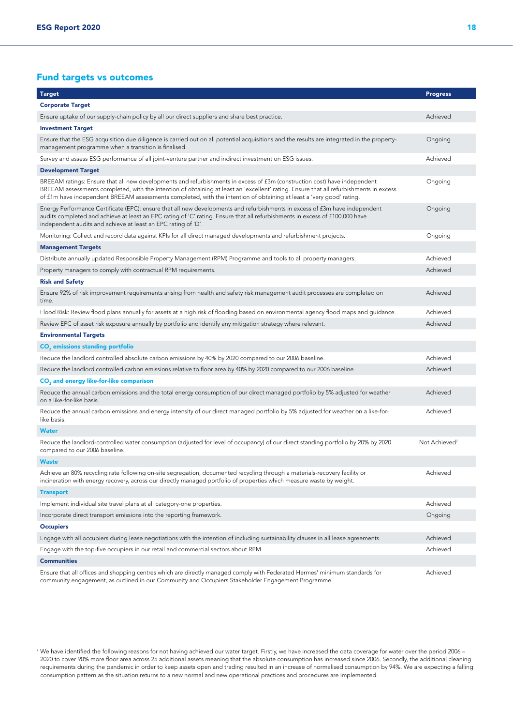## Fund targets vs outcomes

| <b>Target</b>                                                                                                                                                                                                                                                                                                                                                                               | <b>Progress</b>           |  |  |  |  |
|---------------------------------------------------------------------------------------------------------------------------------------------------------------------------------------------------------------------------------------------------------------------------------------------------------------------------------------------------------------------------------------------|---------------------------|--|--|--|--|
| <b>Corporate Target</b>                                                                                                                                                                                                                                                                                                                                                                     |                           |  |  |  |  |
| Ensure uptake of our supply-chain policy by all our direct suppliers and share best practice.                                                                                                                                                                                                                                                                                               |                           |  |  |  |  |
| <b>Investment Target</b>                                                                                                                                                                                                                                                                                                                                                                    |                           |  |  |  |  |
| Ensure that the ESG acquisition due diligence is carried out on all potential acquisitions and the results are integrated in the property-<br>management programme when a transition is finalised.                                                                                                                                                                                          | Ongoing                   |  |  |  |  |
| Survey and assess ESG performance of all joint-venture partner and indirect investment on ESG issues.                                                                                                                                                                                                                                                                                       | Achieved                  |  |  |  |  |
| <b>Development Target</b>                                                                                                                                                                                                                                                                                                                                                                   |                           |  |  |  |  |
| BREEAM ratings: Ensure that all new developments and refurbishments in excess of f3m (construction cost) have independent<br>BREEAM assessments completed, with the intention of obtaining at least an 'excellent' rating. Ensure that all refurbishments in excess<br>of £1m have independent BREEAM assessments completed, with the intention of obtaining at least a 'very good' rating. | Ongoing                   |  |  |  |  |
| Energy Performance Certificate (EPC): ensure that all new developments and refurbishments in excess of f3m have independent<br>audits completed and achieve at least an EPC rating of 'C' rating. Ensure that all refurbishments in excess of £100,000 have<br>independent audits and achieve at least an EPC rating of 'D'.                                                                | Ongoing                   |  |  |  |  |
| Monitoring: Collect and record data against KPIs for all direct managed developments and refurbishment projects.                                                                                                                                                                                                                                                                            | Ongoing                   |  |  |  |  |
| <b>Management Targets</b>                                                                                                                                                                                                                                                                                                                                                                   |                           |  |  |  |  |
| Distribute annually updated Responsible Property Management (RPM) Programme and tools to all property managers.                                                                                                                                                                                                                                                                             | Achieved                  |  |  |  |  |
| Property managers to comply with contractual RPM requirements.                                                                                                                                                                                                                                                                                                                              | Achieved                  |  |  |  |  |
| <b>Risk and Safety</b>                                                                                                                                                                                                                                                                                                                                                                      |                           |  |  |  |  |
| Ensure 92% of risk improvement requirements arising from health and safety risk management audit processes are completed on<br>time.                                                                                                                                                                                                                                                        | Achieved                  |  |  |  |  |
| Flood Risk: Review flood plans annually for assets at a high risk of flooding based on environmental agency flood maps and quidance.                                                                                                                                                                                                                                                        | Achieved                  |  |  |  |  |
| Review EPC of asset risk exposure annually by portfolio and identify any mitigation strategy where relevant.                                                                                                                                                                                                                                                                                | Achieved                  |  |  |  |  |
| <b>Environmental Targets</b>                                                                                                                                                                                                                                                                                                                                                                |                           |  |  |  |  |
| <b>CO<sub>2</sub></b> emissions standing portfolio                                                                                                                                                                                                                                                                                                                                          |                           |  |  |  |  |
| Reduce the landlord controlled absolute carbon emissions by 40% by 2020 compared to our 2006 baseline.                                                                                                                                                                                                                                                                                      | Achieved                  |  |  |  |  |
| Reduce the landlord controlled carbon emissions relative to floor area by 40% by 2020 compared to our 2006 baseline.                                                                                                                                                                                                                                                                        | Achieved                  |  |  |  |  |
| CO <sub>2</sub> and energy like-for-like comparison                                                                                                                                                                                                                                                                                                                                         |                           |  |  |  |  |
| Reduce the annual carbon emissions and the total energy consumption of our direct managed portfolio by 5% adjusted for weather<br>on a like-for-like basis.                                                                                                                                                                                                                                 | Achieved                  |  |  |  |  |
| Reduce the annual carbon emissions and energy intensity of our direct managed portfolio by 5% adjusted for weather on a like-for-<br>like basis.                                                                                                                                                                                                                                            | Achieved                  |  |  |  |  |
| <b>Water</b>                                                                                                                                                                                                                                                                                                                                                                                |                           |  |  |  |  |
| Reduce the landlord-controlled water consumption (adjusted for level of occupancy) of our direct standing portfolio by 20% by 2020<br>compared to our 2006 baseline.                                                                                                                                                                                                                        | Not Achieved <sup>7</sup> |  |  |  |  |
| <b>Waste</b>                                                                                                                                                                                                                                                                                                                                                                                |                           |  |  |  |  |
| Achieve an 80% recycling rate following on-site segregation, documented recycling through a materials-recovery facility or<br>incineration with energy recovery, across our directly managed portfolio of properties which measure waste by weight.                                                                                                                                         | Achieved                  |  |  |  |  |
| <b>Transport</b>                                                                                                                                                                                                                                                                                                                                                                            |                           |  |  |  |  |
| Implement individual site travel plans at all category-one properties.                                                                                                                                                                                                                                                                                                                      | Achieved                  |  |  |  |  |
| Incorporate direct transport emissions into the reporting framework.                                                                                                                                                                                                                                                                                                                        | Ongoing                   |  |  |  |  |
| <b>Occupiers</b>                                                                                                                                                                                                                                                                                                                                                                            |                           |  |  |  |  |
| Engage with all occupiers during lease negotiations with the intention of including sustainability clauses in all lease agreements.                                                                                                                                                                                                                                                         | Achieved                  |  |  |  |  |
| Engage with the top-five occupiers in our retail and commercial sectors about RPM                                                                                                                                                                                                                                                                                                           | Achieved                  |  |  |  |  |
| <b>Communities</b>                                                                                                                                                                                                                                                                                                                                                                          |                           |  |  |  |  |
| Ensure that all offices and shopping centres which are directly managed comply with Federated Hermes' minimum standards for<br>community engagement, as outlined in our Community and Occupiers Stakeholder Engagement Programme.                                                                                                                                                           | Achieved                  |  |  |  |  |

 $^7$  We have identified the following reasons for not having achieved our water target. Firstly, we have increased the data coverage for water over the period 2006 – 2020 to cover 90% more floor area across 25 additional assets meaning that the absolute consumption has increased since 2006. Secondly, the additional cleaning requirements during the pandemic in order to keep assets open and trading resulted in an increase of normalised consumption by 94%. We are expecting a falling consumption pattern as the situation returns to a new normal and new operational practices and procedures are implemented.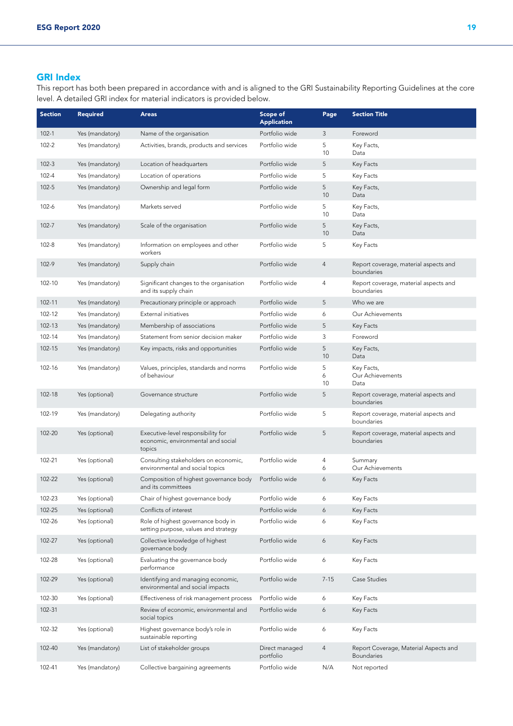## GRI Index

This report has both been prepared in accordance with and is aligned to the GRI Sustainability Reporting Guidelines at the core level. A detailed GRI index for material indicators is provided below.

| <b>Section</b> | <b>Required</b> | <b>Areas</b>                                                                       | Scope of<br><b>Application</b> | Page         | <b>Section Title</b>                                       |
|----------------|-----------------|------------------------------------------------------------------------------------|--------------------------------|--------------|------------------------------------------------------------|
| $102 - 1$      | Yes (mandatory) | Name of the organisation                                                           | Portfolio wide                 | 3            | Foreword                                                   |
| $102 - 2$      | Yes (mandatory) | Activities, brands, products and services                                          | Portfolio wide                 | 5<br>10      | Key Facts,<br>Data                                         |
| $102 - 3$      | Yes (mandatory) | Location of headquarters                                                           | Portfolio wide                 | 5            | Key Facts                                                  |
| $102 - 4$      | Yes (mandatory) | Location of operations                                                             | Portfolio wide                 | 5            | Key Facts                                                  |
| $102 - 5$      | Yes (mandatory) | Ownership and legal form                                                           | Portfolio wide                 | 5<br>10      | Key Facts,<br>Data                                         |
| $102 - 6$      | Yes (mandatory) | Markets served                                                                     | Portfolio wide                 | 5<br>10      | Key Facts,<br>Data                                         |
| $102 - 7$      | Yes (mandatory) | Scale of the organisation                                                          | Portfolio wide                 | 5<br>10      | Key Facts,<br>Data                                         |
| 102-8          | Yes (mandatory) | Information on employees and other<br>workers                                      | Portfolio wide                 | 5            | Key Facts                                                  |
| 102-9          | Yes (mandatory) | Supply chain                                                                       | Portfolio wide                 | 4            | Report coverage, material aspects and<br>boundaries        |
| 102-10         | Yes (mandatory) | Significant changes to the organisation<br>and its supply chain                    | Portfolio wide                 | 4            | Report coverage, material aspects and<br>boundaries        |
| 102-11         | Yes (mandatory) | Precautionary principle or approach                                                | Portfolio wide                 | 5            | Who we are                                                 |
| 102-12         | Yes (mandatory) | External initiatives                                                               | Portfolio wide                 | 6            | Our Achievements                                           |
| 102-13         | Yes (mandatory) | Membership of associations                                                         | Portfolio wide                 | 5            | Key Facts                                                  |
| 102-14         | Yes (mandatory) | Statement from senior decision maker                                               | Portfolio wide                 | 3            | Foreword                                                   |
| 102-15         | Yes (mandatory) | Key impacts, risks and opportunities                                               | Portfolio wide                 | 5<br>10      | Key Facts,<br>Data                                         |
| 102-16         | Yes (mandatory) | Values, principles, standards and norms<br>of behaviour                            | Portfolio wide                 | 5<br>6<br>10 | Key Facts,<br>Our Achievements<br>Data                     |
| 102-18         | Yes (optional)  | Governance structure                                                               | Portfolio wide                 | 5            | Report coverage, material aspects and<br>boundaries        |
| 102-19         | Yes (mandatory) | Delegating authority                                                               | Portfolio wide                 | 5            | Report coverage, material aspects and<br>boundaries        |
| 102-20         | Yes (optional)  | Executive-level responsibility for<br>economic, environmental and social<br>topics | Portfolio wide                 | 5            | Report coverage, material aspects and<br>boundaries        |
| 102-21         | Yes (optional)  | Consulting stakeholders on economic,<br>environmental and social topics            | Portfolio wide                 | 4<br>6       | Summary<br>Our Achievements                                |
| 102-22         | Yes (optional)  | Composition of highest governance body<br>and its committees                       | Portfolio wide                 | 6            | Key Facts                                                  |
| 102-23         | Yes (optional)  | Chair of highest governance body                                                   | Portfolio wide                 | 6            | Key Facts                                                  |
| 102-25         | Yes (optional)  | Conflicts of interest                                                              | Portfolio wide                 | 6            | Key Facts                                                  |
| 102-26         | Yes (optional)  | Role of highest governance body in<br>setting purpose, values and strategy         | Portfolio wide                 | 6            | Key Facts                                                  |
| 102-27         | Yes (optional)  | Collective knowledge of highest<br>governance body                                 | Portfolio wide                 | 6            | Key Facts                                                  |
| 102-28         | Yes (optional)  | Evaluating the governance body<br>performance                                      | Portfolio wide                 | 6            | Key Facts                                                  |
| 102-29         | Yes (optional)  | Identifying and managing economic,<br>environmental and social impacts             | Portfolio wide                 | $7 - 15$     | Case Studies                                               |
| 102-30         | Yes (optional)  | Effectiveness of risk management process                                           | Portfolio wide                 | 6            | Key Facts                                                  |
| 102-31         |                 | Review of economic, environmental and<br>social topics                             | Portfolio wide                 | 6            | Key Facts                                                  |
| 102-32         | Yes (optional)  | Highest governance body's role in<br>sustainable reporting                         | Portfolio wide                 | 6            | Key Facts                                                  |
| 102-40         | Yes (mandatory) | List of stakeholder groups                                                         | Direct managed<br>portfolio    | 4            | Report Coverage, Material Aspects and<br><b>Boundaries</b> |
| 102-41         | Yes (mandatory) | Collective bargaining agreements                                                   | Portfolio wide                 | N/A          | Not reported                                               |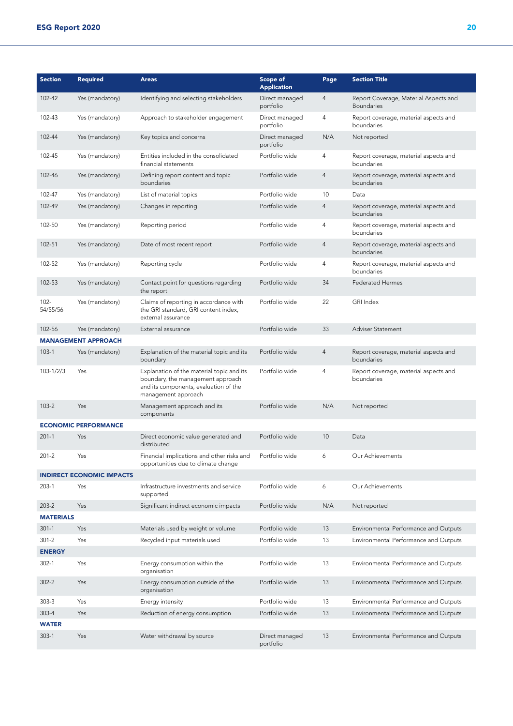| <b>Section</b>      | <b>Required</b>                  | <b>Areas</b>                                                                                                                                   | Scope of<br><b>Application</b> | Page           | <b>Section Title</b>                                       |
|---------------------|----------------------------------|------------------------------------------------------------------------------------------------------------------------------------------------|--------------------------------|----------------|------------------------------------------------------------|
| 102-42              | Yes (mandatory)                  | Identifying and selecting stakeholders                                                                                                         | Direct managed<br>portfolio    | $\overline{4}$ | Report Coverage, Material Aspects and<br><b>Boundaries</b> |
| 102-43              | Yes (mandatory)                  | Approach to stakeholder engagement                                                                                                             | Direct managed<br>portfolio    | 4              | Report coverage, material aspects and<br>boundaries        |
| 102-44              | Yes (mandatory)                  | Key topics and concerns                                                                                                                        | Direct managed<br>portfolio    | N/A            | Not reported                                               |
| 102-45              | Yes (mandatory)                  | Entities included in the consolidated<br>financial statements                                                                                  | Portfolio wide                 | 4              | Report coverage, material aspects and<br>boundaries        |
| 102-46              | Yes (mandatory)                  | Defining report content and topic<br>boundaries                                                                                                | Portfolio wide                 | 4              | Report coverage, material aspects and<br>boundaries        |
| 102-47              | Yes (mandatory)                  | List of material topics                                                                                                                        | Portfolio wide                 | 10             | Data                                                       |
| 102-49              | Yes (mandatory)                  | Changes in reporting                                                                                                                           | Portfolio wide                 | 4              | Report coverage, material aspects and<br>boundaries        |
| 102-50              | Yes (mandatory)                  | Reporting period                                                                                                                               | Portfolio wide                 | 4              | Report coverage, material aspects and<br>boundaries        |
| 102-51              | Yes (mandatory)                  | Date of most recent report                                                                                                                     | Portfolio wide                 | 4              | Report coverage, material aspects and<br>boundaries        |
| 102-52              | Yes (mandatory)                  | Reporting cycle                                                                                                                                | Portfolio wide                 | 4              | Report coverage, material aspects and<br>boundaries        |
| 102-53              | Yes (mandatory)                  | Contact point for questions regarding<br>the report                                                                                            | Portfolio wide                 | 34             | <b>Federated Hermes</b>                                    |
| $102 -$<br>54/55/56 | Yes (mandatory)                  | Claims of reporting in accordance with<br>the GRI standard, GRI content index,<br>external assurance                                           | Portfolio wide                 | 22             | <b>GRI</b> Index                                           |
| 102-56              | Yes (mandatory)                  | External assurance                                                                                                                             | Portfolio wide                 | 33             | Adviser Statement                                          |
|                     | <b>MANAGEMENT APPROACH</b>       |                                                                                                                                                |                                |                |                                                            |
| $103-1$             | Yes (mandatory)                  | Explanation of the material topic and its<br>boundary                                                                                          | Portfolio wide                 | 4              | Report coverage, material aspects and<br>boundaries        |
| $103 - 1/2/3$       | Yes                              | Explanation of the material topic and its<br>boundary, the management approach<br>and its components, evaluation of the<br>management approach | Portfolio wide                 | 4              | Report coverage, material aspects and<br>boundaries        |
| $103 - 2$           | Yes                              | Management approach and its<br>components                                                                                                      | Portfolio wide                 | N/A            | Not reported                                               |
|                     | <b>ECONOMIC PERFORMANCE</b>      |                                                                                                                                                |                                |                |                                                            |
| $201 - 1$           | Yes                              | Direct economic value generated and<br>distributed                                                                                             | Portfolio wide                 | 10             | Data                                                       |
| $201 - 2$           | Yes                              | Financial implications and other risks and<br>opportunities due to climate change                                                              | Portfolio wide                 | 6              | Our Achievements                                           |
|                     | <b>INDIRECT ECONOMIC IMPACTS</b> |                                                                                                                                                |                                |                |                                                            |
| $203-1$             | Yes                              | Infrastructure investments and service<br>supported                                                                                            | Portfolio wide                 | 6              | Our Achievements                                           |
| $203 - 2$           | Yes                              | Significant indirect economic impacts                                                                                                          | Portfolio wide                 | N/A            | Not reported                                               |
| <b>MATERIALS</b>    |                                  |                                                                                                                                                |                                |                |                                                            |
| $301 - 1$           | Yes                              | Materials used by weight or volume                                                                                                             | Portfolio wide                 | 13             | Environmental Performance and Outputs                      |
| $301 - 2$           | Yes                              | Recycled input materials used                                                                                                                  | Portfolio wide                 | 13             | Environmental Performance and Outputs                      |
| <b>ENERGY</b>       |                                  |                                                                                                                                                |                                |                |                                                            |
| $302 - 1$           | Yes                              | Energy consumption within the<br>organisation                                                                                                  | Portfolio wide                 | 13             | Environmental Performance and Outputs                      |
| $302 - 2$           | Yes                              | Energy consumption outside of the<br>organisation                                                                                              | Portfolio wide                 | 13             | Environmental Performance and Outputs                      |
| $303 - 3$           | Yes                              | Energy intensity                                                                                                                               | Portfolio wide                 | 13             | Environmental Performance and Outputs                      |
| $303 - 4$           | Yes                              | Reduction of energy consumption                                                                                                                | Portfolio wide                 | 13             | Environmental Performance and Outputs                      |
| <b>WATER</b>        |                                  |                                                                                                                                                |                                |                |                                                            |
| $303-1$             | Yes                              | Water withdrawal by source                                                                                                                     | Direct managed<br>portfolio    | 13             | Environmental Performance and Outputs                      |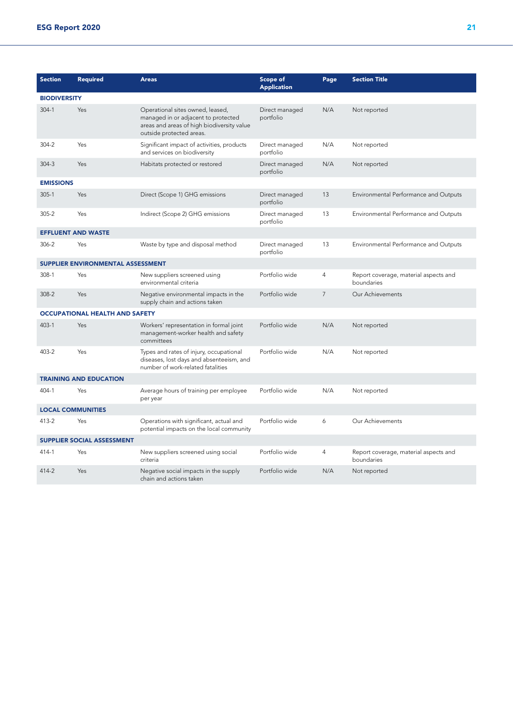| <b>Section</b>                    | Required                              | <b>Areas</b>                                                                                                                                      | Scope of<br><b>Application</b> | Page           | <b>Section Title</b>                                |  |  |  |  |
|-----------------------------------|---------------------------------------|---------------------------------------------------------------------------------------------------------------------------------------------------|--------------------------------|----------------|-----------------------------------------------------|--|--|--|--|
| <b>BIODIVERSITY</b>               |                                       |                                                                                                                                                   |                                |                |                                                     |  |  |  |  |
| $304 - 1$                         | Yes                                   | Operational sites owned, leased,<br>managed in or adjacent to protected<br>areas and areas of high biodiversity value<br>outside protected areas. | Direct managed<br>portfolio    | N/A            | Not reported                                        |  |  |  |  |
| $304 - 2$                         | Yes                                   | Significant impact of activities, products<br>and services on biodiversity                                                                        | Direct managed<br>portfolio    | N/A            | Not reported                                        |  |  |  |  |
| $304 - 3$                         | Yes                                   | Habitats protected or restored                                                                                                                    | Direct managed<br>portfolio    | N/A            | Not reported                                        |  |  |  |  |
| <b>EMISSIONS</b>                  |                                       |                                                                                                                                                   |                                |                |                                                     |  |  |  |  |
| $305 - 1$                         | Yes                                   | Direct (Scope 1) GHG emissions                                                                                                                    | Direct managed<br>portfolio    | 13             | Environmental Performance and Outputs               |  |  |  |  |
| $305 - 2$                         | Yes                                   | Indirect (Scope 2) GHG emissions                                                                                                                  | Direct managed<br>portfolio    | 13             | Environmental Performance and Outputs               |  |  |  |  |
|                                   | <b>EFFLUENT AND WASTE</b>             |                                                                                                                                                   |                                |                |                                                     |  |  |  |  |
| 306-2                             | Yes                                   | Waste by type and disposal method                                                                                                                 | Direct managed<br>portfolio    | 13             | Environmental Performance and Outputs               |  |  |  |  |
|                                   | SUPPLIER ENVIRONMENTAL ASSESSMENT     |                                                                                                                                                   |                                |                |                                                     |  |  |  |  |
| $308-1$                           | Yes                                   | New suppliers screened using<br>environmental criteria                                                                                            | Portfolio wide                 | 4              | Report coverage, material aspects and<br>boundaries |  |  |  |  |
| 308-2                             | Yes                                   | Negative environmental impacts in the<br>supply chain and actions taken                                                                           | Portfolio wide                 | $\overline{7}$ | Our Achievements                                    |  |  |  |  |
|                                   | <b>OCCUPATIONAL HEALTH AND SAFETY</b> |                                                                                                                                                   |                                |                |                                                     |  |  |  |  |
| $403 - 1$                         | Yes                                   | Workers' representation in formal joint<br>management-worker health and safety<br>committees                                                      | Portfolio wide                 | N/A            | Not reported                                        |  |  |  |  |
| 403-2                             | Yes                                   | Types and rates of injury, occupational<br>diseases, lost days and absenteeism, and<br>number of work-related fatalities                          | Portfolio wide                 | N/A            | Not reported                                        |  |  |  |  |
|                                   | <b>TRAINING AND EDUCATION</b>         |                                                                                                                                                   |                                |                |                                                     |  |  |  |  |
| $404 - 1$                         | Yes                                   | Average hours of training per employee<br>per year                                                                                                | Portfolio wide                 | N/A            | Not reported                                        |  |  |  |  |
| <b>LOCAL COMMUNITIES</b>          |                                       |                                                                                                                                                   |                                |                |                                                     |  |  |  |  |
| 413-2                             | Yes                                   | Operations with significant, actual and<br>potential impacts on the local community                                                               | Portfolio wide                 | 6              | Our Achievements                                    |  |  |  |  |
| <b>SUPPLIER SOCIAL ASSESSMENT</b> |                                       |                                                                                                                                                   |                                |                |                                                     |  |  |  |  |
| 414-1                             | Yes                                   | New suppliers screened using social<br>criteria                                                                                                   | Portfolio wide                 | 4              | Report coverage, material aspects and<br>boundaries |  |  |  |  |
| 414-2                             | Yes                                   | Negative social impacts in the supply<br>chain and actions taken                                                                                  | Portfolio wide                 | N/A            | Not reported                                        |  |  |  |  |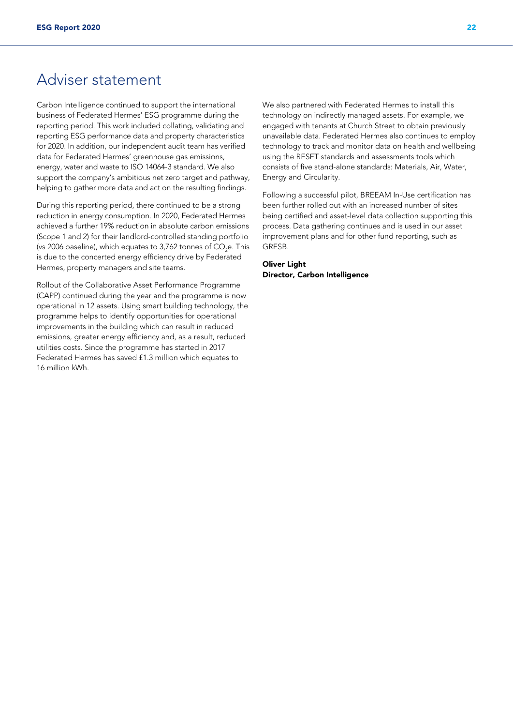# Adviser statement

Carbon Intelligence continued to support the international business of Federated Hermes' ESG programme during the reporting period. This work included collating, validating and reporting ESG performance data and property characteristics for 2020. In addition, our independent audit team has verified data for Federated Hermes' greenhouse gas emissions, energy, water and waste to ISO 14064-3 standard. We also support the company's ambitious net zero target and pathway, helping to gather more data and act on the resulting findings.

During this reporting period, there continued to be a strong reduction in energy consumption. In 2020, Federated Hermes achieved a further 19% reduction in absolute carbon emissions (Scope 1 and 2) for their landlord-controlled standing portfolio (vs 2006 baseline), which equates to 3,762 tonnes of CO<sub>2</sub>e. This is due to the concerted energy efficiency drive by Federated Hermes, property managers and site teams.

Rollout of the Collaborative Asset Performance Programme (CAPP) continued during the year and the programme is now operational in 12 assets. Using smart building technology, the programme helps to identify opportunities for operational improvements in the building which can result in reduced emissions, greater energy efficiency and, as a result, reduced utilities costs. Since the programme has started in 2017 Federated Hermes has saved £1.3 million which equates to 16 million kWh.

We also partnered with Federated Hermes to install this technology on indirectly managed assets. For example, we engaged with tenants at Church Street to obtain previously unavailable data. Federated Hermes also continues to employ technology to track and monitor data on health and wellbeing using the RESET standards and assessments tools which consists of five stand-alone standards: Materials, Air, Water, Energy and Circularity.

Following a successful pilot, BREEAM In-Use certification has been further rolled out with an increased number of sites being certified and asset-level data collection supporting this process. Data gathering continues and is used in our asset improvement plans and for other fund reporting, such as GRESB.

Oliver Light Director, Carbon Intelligence